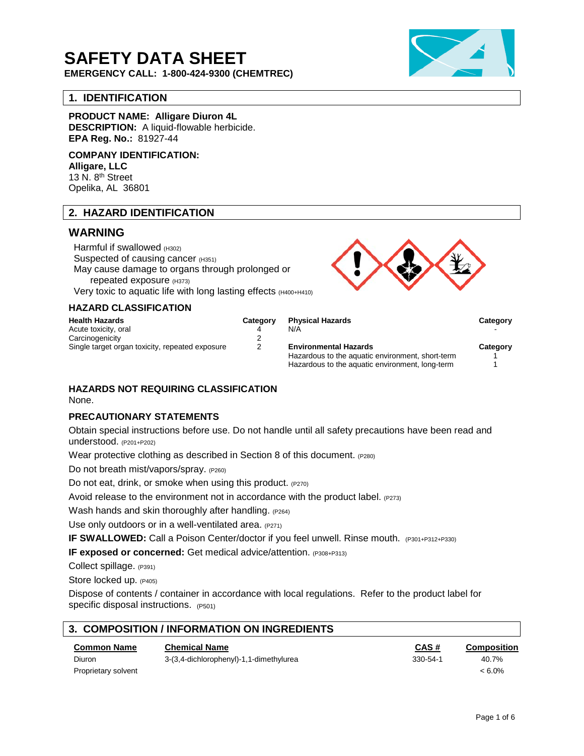# **SAFETY DATA SHEET**

**EMERGENCY CALL: 1-800-424-9300 (CHEMTREC)**

## **1. IDENTIFICATION**

**PRODUCT NAME: Alligare Diuron 4L**

**DESCRIPTION:** A liquid-flowable herbicide. **EPA Reg. No.:** 81927-44

**COMPANY IDENTIFICATION: Alligare, LLC** 13 N. 8<sup>th</sup> Street Opelika, AL 36801

## **2. HAZARD IDENTIFICATION**

# **WARNING**

Harmful if swallowed (H302) Suspected of causing cancer (H351) May cause damage to organs through prolonged or repeated exposure (H373) Very toxic to aquatic life with long lasting effects (H400+H410)

#### **HAZARD CLASSIFICATION**

| <b>Health Hazards</b>                           | Category | <b>Physical Hazards</b>                          | Category |
|-------------------------------------------------|----------|--------------------------------------------------|----------|
| Acute toxicity, oral                            |          | N/A                                              |          |
| Carcinogenicity                                 |          |                                                  |          |
| Single target organ toxicity, repeated exposure |          | <b>Environmental Hazards</b>                     | Category |
|                                                 |          | Hazardous to the aquatic environment, short-term |          |
|                                                 |          | Hazardous to the aquatic environment, long-term  |          |

## **HAZARDS NOT REQUIRING CLASSIFICATION**

None.

## **PRECAUTIONARY STATEMENTS**

Obtain special instructions before use. Do not handle until all safety precautions have been read and understood. (P201+P202)

Wear protective clothing as described in Section 8 of this document. (P280)

Do not breath mist/vapors/spray. (P260)

Do not eat, drink, or smoke when using this product. (P270)

Avoid release to the environment not in accordance with the product label.  $(P273)$ 

Wash hands and skin thoroughly after handling. (P264)

Use only outdoors or in a well-ventilated area. (P271)

**IF SWALLOWED:** Call a Poison Center/doctor if you feel unwell. Rinse mouth. (P301+P312+P330)

**IF exposed or concerned:** Get medical advice/attention. (P308+P313)

Collect spillage. (P391)

Store locked up. (P405)

Dispose of contents / container in accordance with local regulations. Refer to the product label for specific disposal instructions.  $(P501)$ 

| 3. COMPOSITION / INFORMATION ON INGREDIENTS |                                         |                |             |  |  |
|---------------------------------------------|-----------------------------------------|----------------|-------------|--|--|
| <b>Common Name</b>                          | <b>Chemical Name</b>                    | CAS#           | Composition |  |  |
| Diuron                                      | 3-(3,4-dichlorophenyl)-1,1-dimethylurea | $330 - 54 - 1$ | 40.7%       |  |  |
| Proprietary solvent                         |                                         |                | < 6.0%      |  |  |

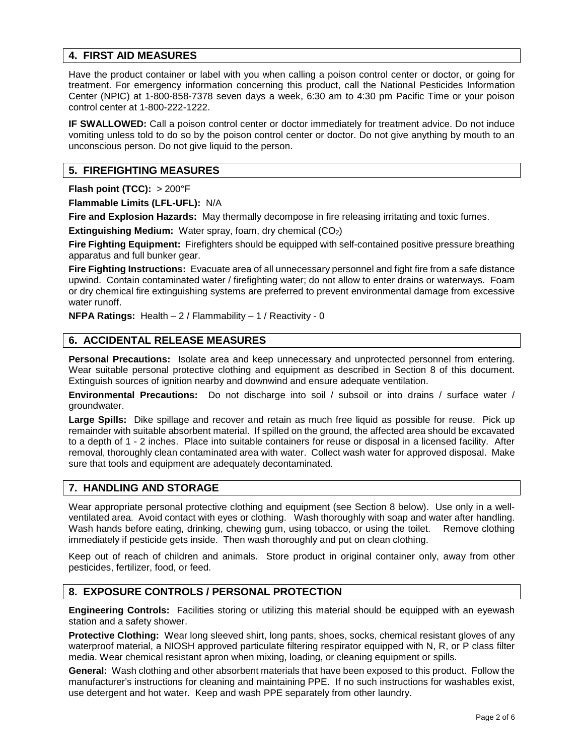## **4. FIRST AID MEASURES**

Have the product container or label with you when calling a poison control center or doctor, or going for treatment. For emergency information concerning this product, call the National Pesticides Information Center (NPIC) at 1-800-858-7378 seven days a week, 6:30 am to 4:30 pm Pacific Time or your poison control center at 1-800-222-1222.

**IF SWALLOWED:** Call a poison control center or doctor immediately for treatment advice. Do not induce vomiting unless told to do so by the poison control center or doctor. Do not give anything by mouth to an unconscious person. Do not give liquid to the person.

## **5. FIREFIGHTING MEASURES**

**Flash point (TCC):** > 200°F

**Flammable Limits (LFL-UFL):** N/A

**Fire and Explosion Hazards:** May thermally decompose in fire releasing irritating and toxic fumes.

**Extinguishing Medium:** Water spray, foam, dry chemical (CO<sub>2</sub>)

**Fire Fighting Equipment:** Firefighters should be equipped with self-contained positive pressure breathing apparatus and full bunker gear.

**Fire Fighting Instructions:** Evacuate area of all unnecessary personnel and fight fire from a safe distance upwind. Contain contaminated water / firefighting water; do not allow to enter drains or waterways. Foam or dry chemical fire extinguishing systems are preferred to prevent environmental damage from excessive water runoff.

**NFPA Ratings:** Health – 2 / Flammability – 1 / Reactivity - 0

## **6. ACCIDENTAL RELEASE MEASURES**

**Personal Precautions:** Isolate area and keep unnecessary and unprotected personnel from entering. Wear suitable personal protective clothing and equipment as described in Section 8 of this document. Extinguish sources of ignition nearby and downwind and ensure adequate ventilation.

**Environmental Precautions:** Do not discharge into soil / subsoil or into drains / surface water / groundwater.

**Large Spills:** Dike spillage and recover and retain as much free liquid as possible for reuse. Pick up remainder with suitable absorbent material. If spilled on the ground, the affected area should be excavated to a depth of 1 - 2 inches. Place into suitable containers for reuse or disposal in a licensed facility. After removal, thoroughly clean contaminated area with water. Collect wash water for approved disposal. Make sure that tools and equipment are adequately decontaminated.

# **7. HANDLING AND STORAGE**

Wear appropriate personal protective clothing and equipment (see Section 8 below). Use only in a wellventilated area. Avoid contact with eyes or clothing. Wash thoroughly with soap and water after handling. Wash hands before eating, drinking, chewing gum, using tobacco, or using the toilet. Remove clothing immediately if pesticide gets inside. Then wash thoroughly and put on clean clothing.

Keep out of reach of children and animals. Store product in original container only, away from other pesticides, fertilizer, food, or feed.

## **8. EXPOSURE CONTROLS / PERSONAL PROTECTION**

**Engineering Controls:** Facilities storing or utilizing this material should be equipped with an eyewash station and a safety shower.

**Protective Clothing:** Wear long sleeved shirt, long pants, shoes, socks, chemical resistant gloves of any waterproof material, a NIOSH approved particulate filtering respirator equipped with N, R, or P class filter media. Wear chemical resistant apron when mixing, loading, or cleaning equipment or spills.

**General:** Wash clothing and other absorbent materials that have been exposed to this product. Follow the manufacturer's instructions for cleaning and maintaining PPE. If no such instructions for washables exist, use detergent and hot water. Keep and wash PPE separately from other laundry.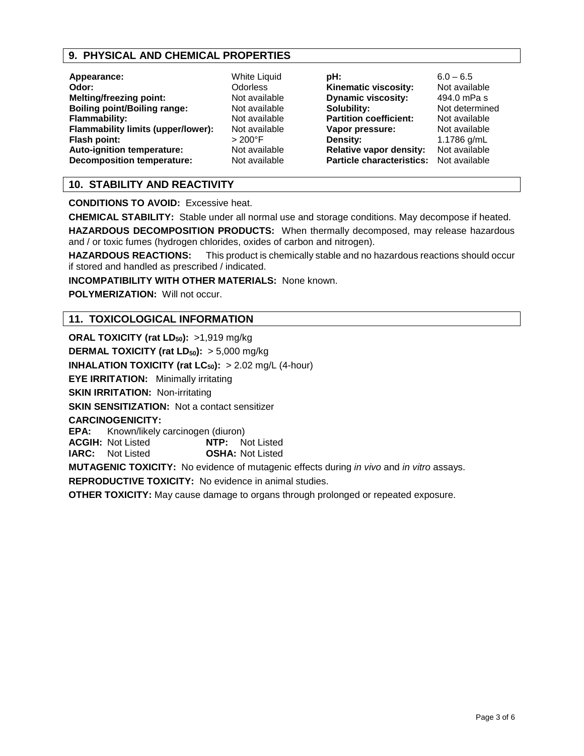## **9. PHYSICAL AND CHEMICAL PROPERTIES**

| Appearance:                         |
|-------------------------------------|
| Odor:                               |
| <b>Melting/freezing point:</b>      |
| <b>Boiling point/Boiling range:</b> |
| <b>Flammability:</b>                |
| Flammability limits (upper/lower):  |
| Flash point:                        |
| Auto-ignition temperature:          |
| <b>Decomposition temperature:</b>   |

**White Liquid Odor:** Odorless **Not available Not available Not available** Not available **Flash point:** > 200°F **Not available Not available**  **pH:** 6.0 – 6.5<br>**Kinematic viscosity:** Not available **Kinematic viscosity: Dynamic viscosity:** 494.0 mPa s **Solubility:** Not determined<br> **Partition coefficient:** Not available **Partition coefficient: Vapor pressure:** Not available<br> **Density:** 1.1786 g/mL **Relative vapor density:** Not available **Particle characteristics:** Not available

**Density:** 1.1786 g/mL

# **10. STABILITY AND REACTIVITY**

**CONDITIONS TO AVOID:** Excessive heat.

**CHEMICAL STABILITY:** Stable under all normal use and storage conditions. May decompose if heated.

**HAZARDOUS DECOMPOSITION PRODUCTS:** When thermally decomposed, may release hazardous and / or toxic fumes (hydrogen chlorides, oxides of carbon and nitrogen).

**HAZARDOUS REACTIONS:** This product is chemically stable and no hazardous reactions should occur if stored and handled as prescribed / indicated.

**INCOMPATIBILITY WITH OTHER MATERIALS:** None known.

**POLYMERIZATION:** Will not occur.

## **11. TOXICOLOGICAL INFORMATION**

**ORAL TOXICITY (rat LD<sub>50</sub>): >1,919 mg/kg DERMAL TOXICITY (rat LD<sub>50</sub>):** > 5,000 mg/kg **INHALATION TOXICITY (rat**  $LC_{50}$ **):**  $> 2.02$  mg/L (4-hour) **EYE IRRITATION:** Minimally irritating **SKIN IRRITATION: Non-irritating SKIN SENSITIZATION:** Not a contact sensitizer **CARCINOGENICITY: EPA:** Known/likely carcinogen (diuron)<br>**ACGIH:** Not Listed **NTP:** Not Listed **ACGIH: Not Listed IARC:** Not Listed **OSHA:** Not Listed **MUTAGENIC TOXICITY:** No evidence of mutagenic effects during *in vivo* and *in vitro* assays. **REPRODUCTIVE TOXICITY:** No evidence in animal studies.

**OTHER TOXICITY:** May cause damage to organs through prolonged or repeated exposure.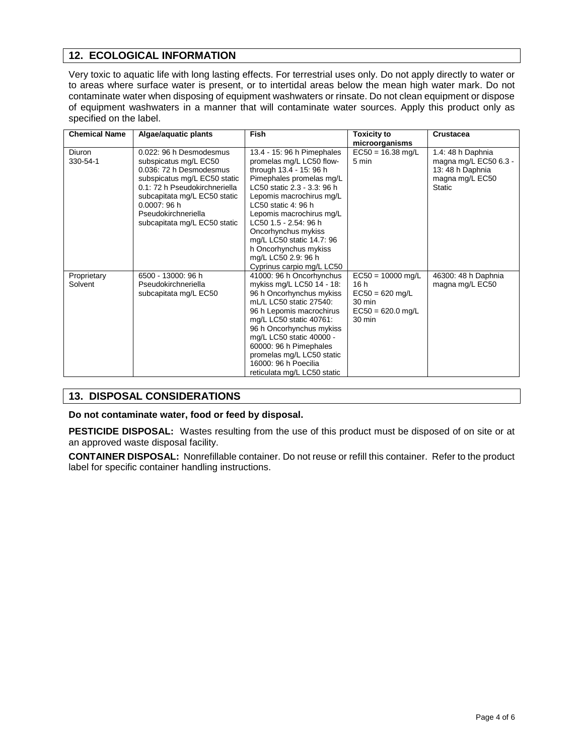# **12. ECOLOGICAL INFORMATION**

Very toxic to aquatic life with long lasting effects. For terrestrial uses only. Do not apply directly to water or to areas where surface water is present, or to intertidal areas below the mean high water mark. Do not contaminate water when disposing of equipment washwaters or rinsate. Do not clean equipment or dispose of equipment washwaters in a manner that will contaminate water sources. Apply this product only as specified on the label.

| <b>Chemical Name</b>   | Algae/aquatic plants                                                                                                                                                                                                                              | <b>Fish</b>                                                                                                                                                                                                                                                                                                                                                                           | <b>Toxicity to</b><br>microorganisms                                                                 | <b>Crustacea</b>                                                                                   |
|------------------------|---------------------------------------------------------------------------------------------------------------------------------------------------------------------------------------------------------------------------------------------------|---------------------------------------------------------------------------------------------------------------------------------------------------------------------------------------------------------------------------------------------------------------------------------------------------------------------------------------------------------------------------------------|------------------------------------------------------------------------------------------------------|----------------------------------------------------------------------------------------------------|
| Diuron<br>330-54-1     | 0.022: 96 h Desmodesmus<br>subspicatus mg/L EC50<br>0.036: 72 h Desmodesmus<br>subspicatus mg/L EC50 static<br>0.1: 72 h Pseudokirchneriella<br>subcapitata mg/L EC50 static<br>0.0007:96h<br>Pseudokirchneriella<br>subcapitata mg/L EC50 static | 13.4 - 15: 96 h Pimephales<br>promelas mg/L LC50 flow-<br>through 13.4 - 15: 96 h<br>Pimephales promelas mg/L<br>LC50 static 2.3 - 3.3: 96 h<br>Lepomis macrochirus mg/L<br>LC50 static 4: 96 h<br>Lepomis macrochirus mg/L<br>LC50 1.5 - 2.54: 96 h<br>Oncorhynchus mykiss<br>mg/L LC50 static 14.7: 96<br>h Oncorhynchus mykiss<br>mg/L LC50 2.9: 96 h<br>Cyprinus carpio mg/L LC50 | $EC50 = 16.38$ mg/L<br>5 min                                                                         | 1.4: 48 h Daphnia<br>magna mg/L EC50 6.3 -<br>13: 48 h Daphnia<br>magna mg/L EC50<br><b>Static</b> |
| Proprietary<br>Solvent | 6500 - 13000: 96 h<br>Pseudokirchneriella<br>subcapitata mg/L EC50                                                                                                                                                                                | 41000: 96 h Oncorhynchus<br>mykiss mg/L LC50 14 - 18:<br>96 h Oncorhynchus mykiss<br>mL/L LC50 static 27540:<br>96 h Lepomis macrochirus<br>mg/L LC50 static 40761:<br>96 h Oncorhynchus mykiss<br>mg/L LC50 static 40000 -<br>60000: 96 h Pimephales<br>promelas mg/L LC50 static<br>16000: 96 h Poecilia<br>reticulata mg/L LC50 static                                             | $EC50 = 10000$ mg/L<br>16h<br>$EC50 = 620$ mg/L<br>30 min<br>$EC50 = 620.0$ mg/L<br>$30 \text{ min}$ | 46300: 48 h Daphnia<br>magna mg/L EC50                                                             |

# **13. DISPOSAL CONSIDERATIONS**

**Do not contaminate water, food or feed by disposal.**

**PESTICIDE DISPOSAL:** Wastes resulting from the use of this product must be disposed of on site or at an approved waste disposal facility.

**CONTAINER DISPOSAL:** Nonrefillable container. Do not reuse or refill this container. Refer to the product label for specific container handling instructions.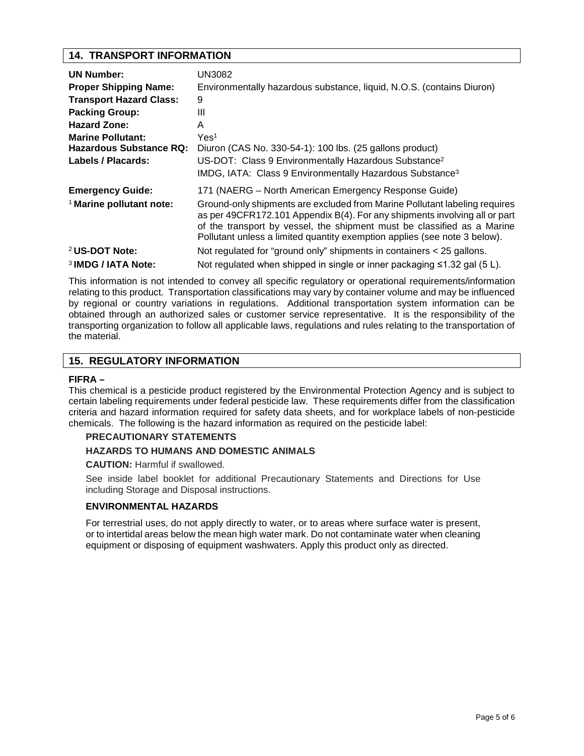# **14. TRANSPORT INFORMATION**

| <b>UN Number:</b><br><b>Proper Shipping Name:</b><br><b>Transport Hazard Class:</b><br><b>Packing Group:</b><br><b>Hazard Zone:</b><br><b>Marine Pollutant:</b><br>Hazardous Substance RQ:<br>Labels / Placards: | UN3082<br>Environmentally hazardous substance, liquid, N.O.S. (contains Diuron)<br>9<br>Ш<br>A<br>Yes <sup>1</sup><br>Diuron (CAS No. 330-54-1): 100 lbs. (25 gallons product)<br>US-DOT: Class 9 Environmentally Hazardous Substance <sup>2</sup><br>IMDG, IATA: Class 9 Environmentally Hazardous Substance <sup>3</sup> |
|------------------------------------------------------------------------------------------------------------------------------------------------------------------------------------------------------------------|----------------------------------------------------------------------------------------------------------------------------------------------------------------------------------------------------------------------------------------------------------------------------------------------------------------------------|
| <b>Emergency Guide:</b>                                                                                                                                                                                          | 171 (NAERG – North American Emergency Response Guide)                                                                                                                                                                                                                                                                      |
| <sup>1</sup> Marine pollutant note:                                                                                                                                                                              | Ground-only shipments are excluded from Marine Pollutant labeling requires<br>as per 49CFR172.101 Appendix B(4). For any shipments involving all or part<br>of the transport by vessel, the shipment must be classified as a Marine<br>Pollutant unless a limited quantity exemption applies (see note 3 below).           |
| <sup>2</sup> US-DOT Note:                                                                                                                                                                                        | Not regulated for "ground only" shipments in containers < 25 gallons.                                                                                                                                                                                                                                                      |
| <sup>3</sup> IMDG / IATA Note:                                                                                                                                                                                   | Not regulated when shipped in single or inner packaging $\leq 1.32$ gal (5 L).                                                                                                                                                                                                                                             |

This information is not intended to convey all specific regulatory or operational requirements/information relating to this product. Transportation classifications may vary by container volume and may be influenced by regional or country variations in regulations. Additional transportation system information can be obtained through an authorized sales or customer service representative. It is the responsibility of the transporting organization to follow all applicable laws, regulations and rules relating to the transportation of the material.

# **15. REGULATORY INFORMATION**

#### **FIFRA –**

This chemical is a pesticide product registered by the Environmental Protection Agency and is subject to certain labeling requirements under federal pesticide law. These requirements differ from the classification criteria and hazard information required for safety data sheets, and for workplace labels of non-pesticide chemicals. The following is the hazard information as required on the pesticide label:

#### **PRECAUTIONARY STATEMENTS**

#### **HAZARDS TO HUMANS AND DOMESTIC ANIMALS**

**CAUTION:** Harmful if swallowed.

See inside label booklet for additional Precautionary Statements and Directions for Use including Storage and Disposal instructions.

#### **ENVIRONMENTAL HAZARDS**

For terrestrial uses, do not apply directly to water, or to areas where surface water is present, or to intertidal areas below the mean high water mark. Do not contaminate water when cleaning equipment or disposing of equipment washwaters. Apply this product only as directed.